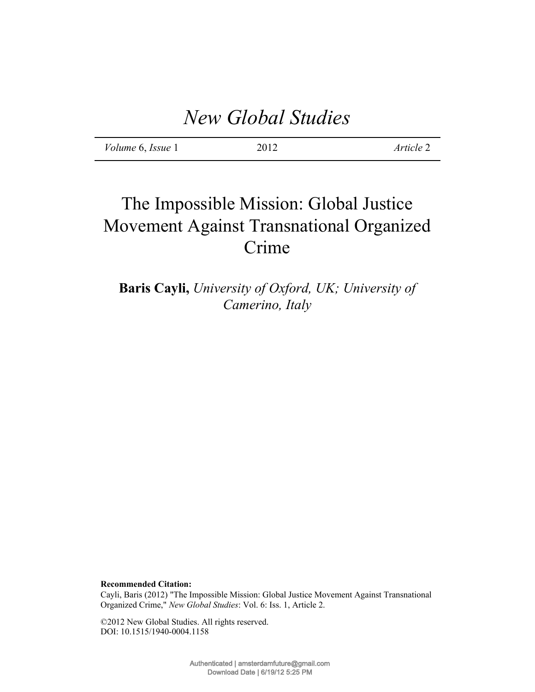|  | <i>Volume</i> 6, <i>Issue</i> 1 | 2012 | Article 2 |
|--|---------------------------------|------|-----------|
|--|---------------------------------|------|-----------|

# The Impossible Mission: Global Justice Movement Against Transnational Organized Crime

**Baris Cayli,** *University of Oxford, UK; University of Camerino, Italy*

**Recommended Citation:**

Cayli, Baris (2012) "The Impossible Mission: Global Justice Movement Against Transnational Organized Crime," *New Global Studies*: Vol. 6: Iss. 1, Article 2.

©2012 New Global Studies. All rights reserved. DOI: 10.1515/1940-0004.1158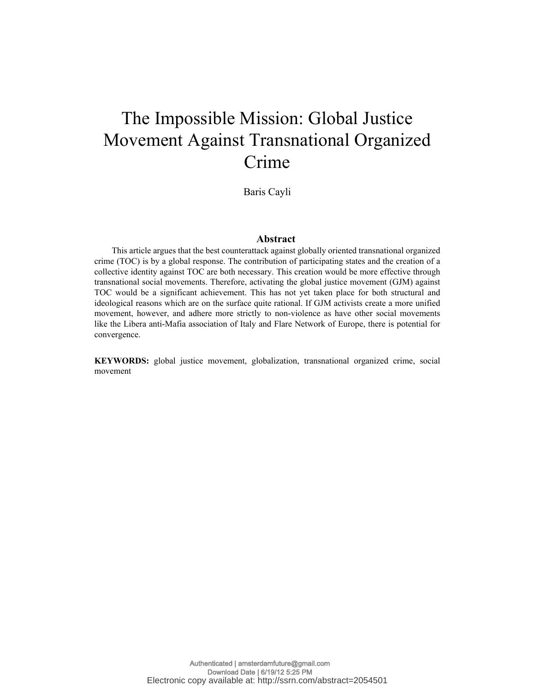# The Impossible Mission: Global Justice Movement Against Transnational Organized Crime

Baris Cayli

#### **Abstract**

This article argues that the best counterattack against globally oriented transnational organized crime (TOC) is by a global response. The contribution of participating states and the creation of a collective identity against TOC are both necessary. This creation would be more effective through transnational social movements. Therefore, activating the global justice movement (GJM) against TOC would be a significant achievement. This has not yet taken place for both structural and ideological reasons which are on the surface quite rational. If GJM activists create a more unified movement, however, and adhere more strictly to non-violence as have other social movements like the Libera anti-Mafia association of Italy and Flare Network of Europe, there is potential for convergence.

**KEYWORDS:** global justice movement, globalization, transnational organized crime, social movement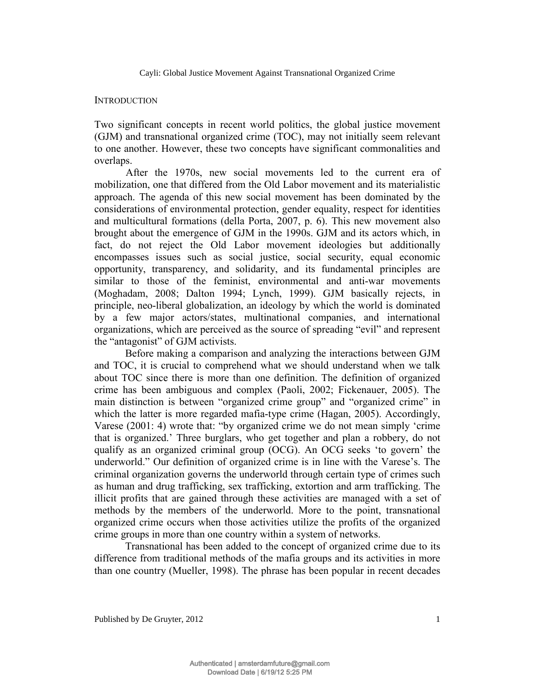#### **INTRODUCTION**

Two significant concepts in recent world politics, the global justice movement (GJM) and transnational organized crime (TOC), may not initially seem relevant to one another. However, these two concepts have significant commonalities and overlaps.

After the 1970s, new social movements led to the current era of mobilization, one that differed from the Old Labor movement and its materialistic approach. The agenda of this new social movement has been dominated by the considerations of environmental protection, gender equality, respect for identities and multicultural formations (della Porta, 2007, p. 6). This new movement also brought about the emergence of GJM in the 1990s. GJM and its actors which, in fact, do not reject the Old Labor movement ideologies but additionally encompasses issues such as social justice, social security, equal economic opportunity, transparency, and solidarity, and its fundamental principles are similar to those of the feminist, environmental and anti-war movements (Moghadam, 2008; Dalton 1994; Lynch, 1999). GJM basically rejects, in principle, neo-liberal globalization, an ideology by which the world is dominated by a few major actors/states, multinational companies, and international organizations, which are perceived as the source of spreading "evil" and represent the "antagonist" of GJM activists.

Before making a comparison and analyzing the interactions between GJM and TOC, it is crucial to comprehend what we should understand when we talk about TOC since there is more than one definition. The definition of organized crime has been ambiguous and complex (Paoli, 2002; Fickenauer, 2005). The main distinction is between "organized crime group" and "organized crime" in which the latter is more regarded mafia-type crime (Hagan, 2005). Accordingly, Varese (2001: 4) wrote that: "by organized crime we do not mean simply 'crime that is organized.' Three burglars, who get together and plan a robbery, do not qualify as an organized criminal group (OCG). An OCG seeks 'to govern' the underworld." Our definition of organized crime is in line with the Varese's. The criminal organization governs the underworld through certain type of crimes such as human and drug trafficking, sex trafficking, extortion and arm trafficking. The illicit profits that are gained through these activities are managed with a set of methods by the members of the underworld. More to the point, transnational organized crime occurs when those activities utilize the profits of the organized crime groups in more than one country within a system of networks.

Transnational has been added to the concept of organized crime due to its difference from traditional methods of the mafia groups and its activities in more than one country (Mueller, 1998). The phrase has been popular in recent decades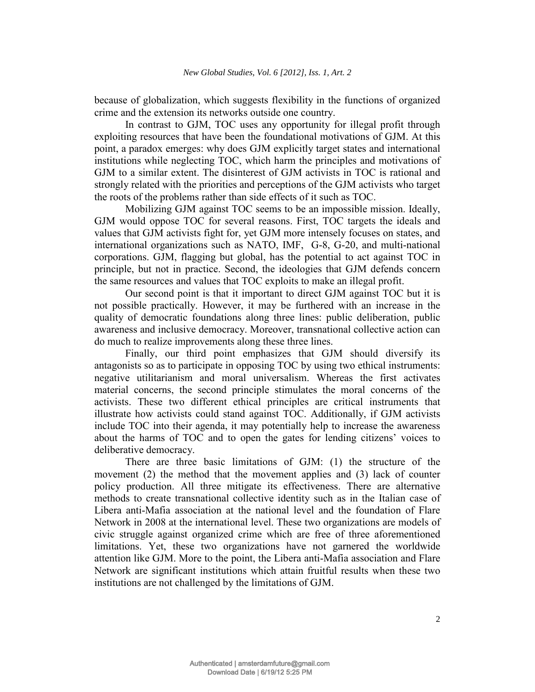because of globalization, which suggests flexibility in the functions of organized crime and the extension its networks outside one country.

In contrast to GJM, TOC uses any opportunity for illegal profit through exploiting resources that have been the foundational motivations of GJM. At this point, a paradox emerges: why does GJM explicitly target states and international institutions while neglecting TOC, which harm the principles and motivations of GJM to a similar extent. The disinterest of GJM activists in TOC is rational and strongly related with the priorities and perceptions of the GJM activists who target the roots of the problems rather than side effects of it such as TOC.

Mobilizing GJM against TOC seems to be an impossible mission. Ideally, GJM would oppose TOC for several reasons. First, TOC targets the ideals and values that GJM activists fight for, yet GJM more intensely focuses on states, and international organizations such as NATO, IMF, G-8, G-20, and multi-national corporations. GJM, flagging but global, has the potential to act against TOC in principle, but not in practice. Second, the ideologies that GJM defends concern the same resources and values that TOC exploits to make an illegal profit.

Our second point is that it important to direct GJM against TOC but it is not possible practically. However, it may be furthered with an increase in the quality of democratic foundations along three lines: public deliberation, public awareness and inclusive democracy. Moreover, transnational collective action can do much to realize improvements along these three lines.

Finally, our third point emphasizes that GJM should diversify its antagonists so as to participate in opposing TOC by using two ethical instruments: negative utilitarianism and moral universalism. Whereas the first activates material concerns, the second principle stimulates the moral concerns of the activists. These two different ethical principles are critical instruments that illustrate how activists could stand against TOC. Additionally, if GJM activists include TOC into their agenda, it may potentially help to increase the awareness about the harms of TOC and to open the gates for lending citizens' voices to deliberative democracy.

There are three basic limitations of GJM: (1) the structure of the movement (2) the method that the movement applies and (3) lack of counter policy production. All three mitigate its effectiveness. There are alternative methods to create transnational collective identity such as in the Italian case of Libera anti-Mafia association at the national level and the foundation of Flare Network in 2008 at the international level. These two organizations are models of civic struggle against organized crime which are free of three aforementioned limitations. Yet, these two organizations have not garnered the worldwide attention like GJM. More to the point, the Libera anti-Mafia association and Flare Network are significant institutions which attain fruitful results when these two institutions are not challenged by the limitations of GJM.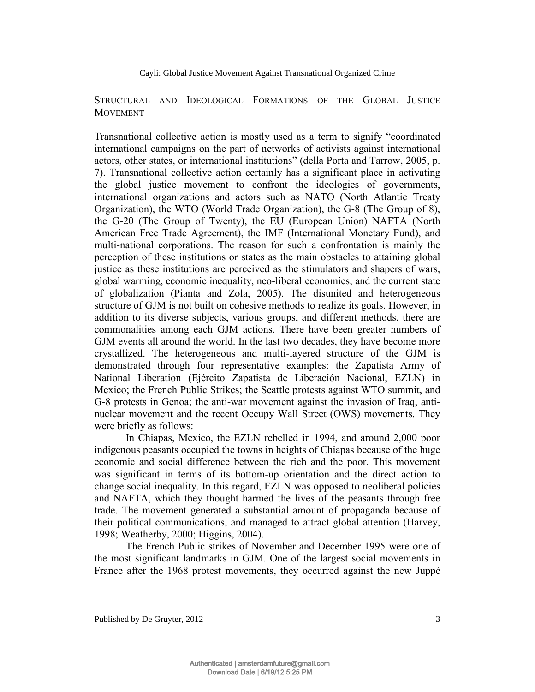STRUCTURAL AND IDEOLOGICAL FORMATIONS OF THE GLOBAL JUSTICE MOVEMENT

Transnational collective action is mostly used as a term to signify "coordinated international campaigns on the part of networks of activists against international actors, other states, or international institutions" (della Porta and Tarrow, 2005, p. 7). Transnational collective action certainly has a significant place in activating the global justice movement to confront the ideologies of governments, international organizations and actors such as NATO (North Atlantic Treaty Organization), the WTO (World Trade Organization), the G-8 (The Group of 8), the G-20 (The Group of Twenty), the EU (European Union) NAFTA (North American Free Trade Agreement), the IMF (International Monetary Fund), and multi-national corporations. The reason for such a confrontation is mainly the perception of these institutions or states as the main obstacles to attaining global justice as these institutions are perceived as the stimulators and shapers of wars, global warming, economic inequality, neo-liberal economies, and the current state of globalization (Pianta and Zola, 2005). The disunited and heterogeneous structure of GJM is not built on cohesive methods to realize its goals. However, in addition to its diverse subjects, various groups, and different methods, there are commonalities among each GJM actions. There have been greater numbers of GJM events all around the world. In the last two decades, they have become more crystallized. The heterogeneous and multi-layered structure of the GJM is demonstrated through four representative examples: the Zapatista Army of National Liberation (Ejército Zapatista de Liberación Nacional, EZLN) in Mexico; the French Public Strikes; the Seattle protests against WTO summit, and G-8 protests in Genoa; the anti-war movement against the invasion of Iraq, antinuclear movement and the recent Occupy Wall Street (OWS) movements. They were briefly as follows:

In Chiapas, Mexico, the EZLN rebelled in 1994, and around 2,000 poor indigenous peasants occupied the towns in heights of Chiapas because of the huge economic and social difference between the rich and the poor. This movement was significant in terms of its bottom-up orientation and the direct action to change social inequality. In this regard, EZLN was opposed to neoliberal policies and NAFTA, which they thought harmed the lives of the peasants through free trade. The movement generated a substantial amount of propaganda because of their political communications, and managed to attract global attention (Harvey, 1998; Weatherby, 2000; Higgins, 2004).

The French Public strikes of November and December 1995 were one of the most significant landmarks in GJM. One of the largest social movements in France after the 1968 protest movements, they occurred against the new [Juppé](http://en.wikipedia.org/wiki/Alain_Jupp%C3%A9)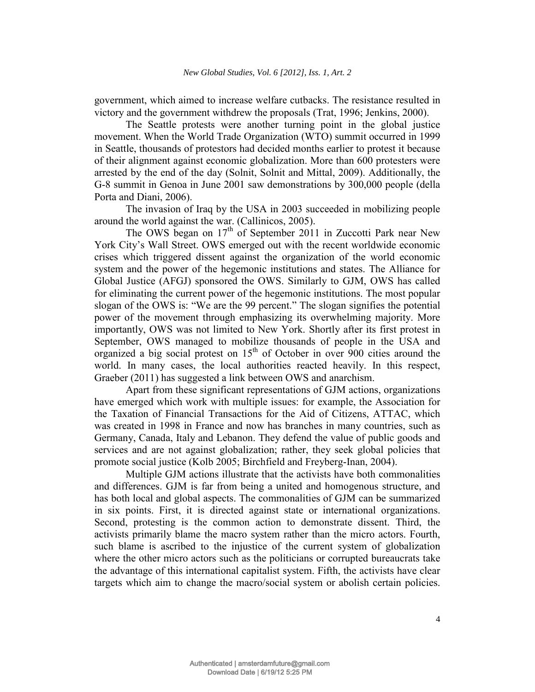government, which aimed to increase welfare cutbacks. The resistance resulted in victory and the government withdrew the proposals (Trat, 1996; Jenkins, 2000).

The Seattle protests were another turning point in the global justice movement. When the World Trade Organization (WTO) summit occurred in 1999 in Seattle, thousands of protestors had decided months earlier to protest it because of their alignment against economic globalization. More than 600 protesters were arrested by the end of the day (Solnit, Solnit and Mittal, 2009). Additionally, the G-8 summit in Genoa in June 2001 saw demonstrations by 300,000 people (della Porta and Diani, 2006).

The invasion of Iraq by the USA in 2003 succeeded in mobilizing people around the world against the war. (Callinicos, 2005).

The OWS began on  $17<sup>th</sup>$  of September 2011 in Zuccotti Park near New York City's Wall Street. OWS emerged out with the recent worldwide economic crises which triggered dissent against the organization of the world economic system and the power of the hegemonic institutions and states. The Alliance for Global Justice (AFGJ) sponsored the OWS. Similarly to GJM, OWS has called for eliminating the current power of the hegemonic institutions. The most popular slogan of the OWS is: "We are the 99 percent." The slogan signifies the potential power of the movement through emphasizing its overwhelming majority. More importantly, OWS was not limited to New York. Shortly after its first protest in September, OWS managed to mobilize thousands of people in the USA and organized a big social protest on  $15<sup>th</sup>$  of October in over 900 cities around the world. In many cases, the local authorities reacted heavily. In this respect, Graeber (2011) has suggested a link between OWS and anarchism.

Apart from these significant representations of GJM actions, organizations have emerged which work with multiple issues: for example, the Association for the Taxation of Financial Transactions for the Aid of Citizens, ATTAC, which was created in 1998 in France and now has branches in many countries, such as Germany, Canada, Italy and Lebanon. They defend the value of public goods and services and are not against globalization; rather, they seek global policies that promote social justice (Kolb 2005; Birchfield and Freyberg-Inan, 2004).

Multiple GJM actions illustrate that the activists have both commonalities and differences. GJM is far from being a united and homogenous structure, and has both local and global aspects. The commonalities of GJM can be summarized in six points. First, it is directed against state or international organizations. Second, protesting is the common action to demonstrate dissent. Third, the activists primarily blame the macro system rather than the micro actors. Fourth, such blame is ascribed to the injustice of the current system of globalization where the other micro actors such as the politicians or corrupted bureaucrats take the advantage of this international capitalist system. Fifth, the activists have clear targets which aim to change the macro/social system or abolish certain policies.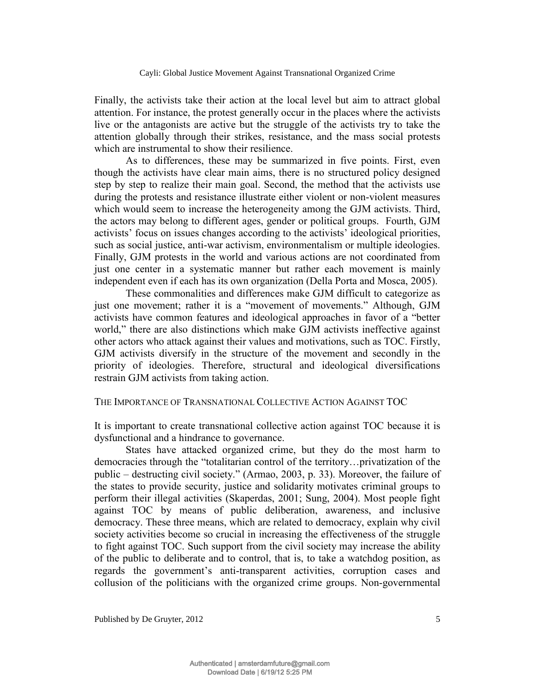Finally, the activists take their action at the local level but aim to attract global attention. For instance, the protest generally occur in the places where the activists live or the antagonists are active but the struggle of the activists try to take the attention globally through their strikes, resistance, and the mass social protests which are instrumental to show their resilience.

As to differences, these may be summarized in five points. First, even though the activists have clear main aims, there is no structured policy designed step by step to realize their main goal. Second, the method that the activists use during the protests and resistance illustrate either violent or non-violent measures which would seem to increase the heterogeneity among the GJM activists. Third, the actors may belong to different ages, gender or political groups. Fourth, GJM activists' focus on issues changes according to the activists' ideological priorities, such as social justice, anti-war activism, environmentalism or multiple ideologies. Finally, GJM protests in the world and various actions are not coordinated from just one center in a systematic manner but rather each movement is mainly independent even if each has its own organization (Della Porta and Mosca, 2005).

These commonalities and differences make GJM difficult to categorize as just one movement; rather it is a "movement of movements." Although, GJM activists have common features and ideological approaches in favor of a "better world," there are also distinctions which make GJM activists ineffective against other actors who attack against their values and motivations, such as TOC. Firstly, GJM activists diversify in the structure of the movement and secondly in the priority of ideologies. Therefore, structural and ideological diversifications restrain GJM activists from taking action.

### THE IMPORTANCE OF TRANSNATIONAL COLLECTIVE ACTION AGAINST TOC

It is important to create transnational collective action against TOC because it is dysfunctional and a hindrance to governance.

States have attacked organized crime, but they do the most harm to democracies through the "totalitarian control of the territory…privatization of the public – destructing civil society." (Armao, 2003, p. 33). Moreover, the failure of the states to provide security, justice and solidarity motivates criminal groups to perform their illegal activities (Skaperdas, 2001; Sung, 2004). Most people fight against TOC by means of public deliberation, awareness, and inclusive democracy. These three means, which are related to democracy, explain why civil society activities become so crucial in increasing the effectiveness of the struggle to fight against TOC. Such support from the civil society may increase the ability of the public to deliberate and to control, that is, to take a watchdog position, as regards the government's anti-transparent activities, corruption cases and collusion of the politicians with the organized crime groups. Non-governmental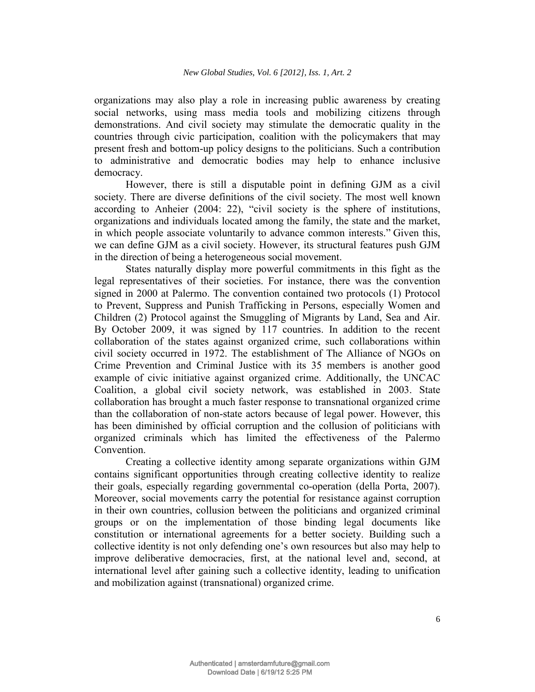organizations may also play a role in increasing public awareness by creating social networks, using mass media tools and mobilizing citizens through demonstrations. And civil society may stimulate the democratic quality in the countries through civic participation, coalition with the policymakers that may present fresh and bottom-up policy designs to the politicians. Such a contribution to administrative and democratic bodies may help to enhance inclusive democracy.

However, there is still a disputable point in defining GJM as a civil society. There are diverse definitions of the civil society. The most well known according to Anheier (2004: 22), "civil society is the sphere of institutions, organizations and individuals located among the family, the state and the market, in which people associate voluntarily to advance common interests." Given this, we can define GJM as a civil society. However, its structural features push GJM in the direction of being a heterogeneous social movement.

States naturally display more powerful commitments in this fight as the legal representatives of their societies. For instance, there was the convention signed in 2000 at Palermo. The convention contained two protocols (1) Protocol to Prevent, Suppress and Punish Trafficking in Persons, especially Women and Children (2) [Protocol against the Smuggling of Migrants by Land, Sea and Air.](http://en.wikipedia.org/wiki/Protocol_against_the_Smuggling_of_Migrants_by_Land,_Sea_and_Air) By October 2009, it was signed by 117 countries. In addition to the recent collaboration of the states against organized crime, such collaborations within civil society occurred in 1972. The establishment of The [Alliance of NGOs on](http://www.cpcjalliance.org/)  [Crime Prevention and Criminal](http://www.cpcjalliance.org/) Justice with its 35 members is another good example of civic initiative against organized crime. Additionally, the [UNCAC](http://www.uncaccoalition.org/)  [Coalition, a global civil society network,](http://www.uncaccoalition.org/) was established in 2003. State collaboration has brought a much faster response to transnational organized crime than the collaboration of non-state actors because of legal power. However, this has been diminished by official corruption and the collusion of politicians with organized criminals which has limited the effectiveness of the Palermo Convention.

Creating a collective identity among separate organizations within GJM contains significant opportunities through creating collective identity to realize their goals, especially regarding governmental co-operation (della Porta, 2007). Moreover, social movements carry the potential for resistance against corruption in their own countries, collusion between the politicians and organized criminal groups or on the implementation of those binding legal documents like constitution or international agreements for a better society. Building such a collective identity is not only defending one's own resources but also may help to improve deliberative democracies, first, at the national level and, second, at international level after gaining such a collective identity, leading to unification and mobilization against (transnational) organized crime.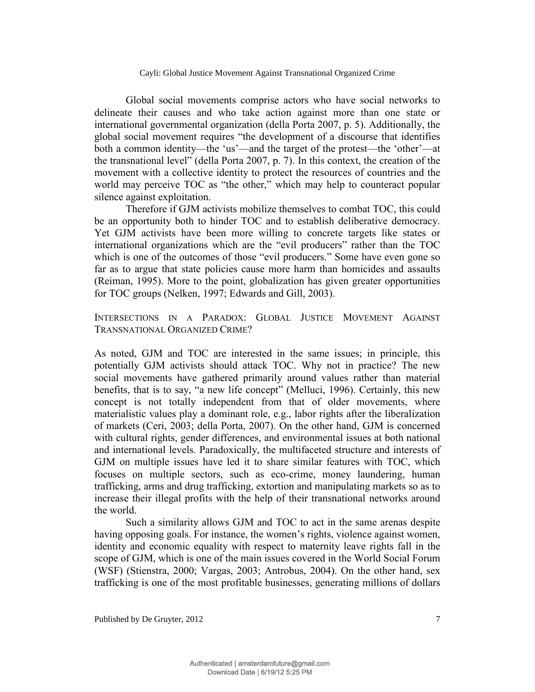Global social movements comprise actors who have social networks to delineate their causes and who take action against more than one state or international governmental organization (della Porta 2007, p. 5). Additionally, the global social movement requires "the development of a discourse that identifies both a common identity—the 'us'—and the target of the protest—the 'other'—at the transnational level" (della Porta 2007, p. 7). In this context, the creation of the movement with a collective identity to protect the resources of countries and the world may perceive TOC as "the other," which may help to counteract popular silence against exploitation.

Therefore if GJM activists mobilize themselves to combat TOC, this could be an opportunity both to hinder TOC and to establish deliberative democracy. Yet GJM activists have been more willing to concrete targets like states or international organizations which are the "evil producers" rather than the TOC which is one of the outcomes of those "evil producers." Some have even gone so far as to argue that state policies cause more harm than homicides and assaults (Reiman, 1995). More to the point, globalization has given greater opportunities for TOC groups (Nelken, 1997; Edwards and Gill, 2003).

INTERSECTIONS IN A PARADOX: GLOBAL JUSTICE MOVEMENT AGAINST TRANSNATIONAL ORGANIZED CRIME?

As noted, GJM and TOC are interested in the same issues; in principle, this potentially GJM activists should attack TOC. Why not in practice? The new social movements have gathered primarily around values rather than material benefits, that is to say, "a new life concept" (Melluci, 1996). Certainly, this new concept is not totally independent from that of older movements, where materialistic values play a dominant role, e.g., labor rights after the liberalization of markets (Ceri, 2003; della Porta, 2007). On the other hand, GJM is concerned with cultural rights, gender differences, and environmental issues at both national and international levels. Paradoxically, the multifaceted structure and interests of GJM on multiple issues have led it to share similar features with TOC, which focuses on multiple sectors, such as eco-crime, money laundering, human trafficking, arms and drug trafficking, extortion and manipulating markets so as to increase their illegal profits with the help of their transnational networks around the world.

Such a similarity allows GJM and TOC to act in the same arenas despite having opposing goals. For instance, the women's rights, violence against women, identity and economic equality with respect to maternity leave rights fall in the scope of GJM, which is one of the main issues covered in the World Social Forum (WSF) (Stienstra, 2000; Vargas, 2003; Antrobus, 2004). On the other hand, sex trafficking is one of the most profitable businesses, generating millions of dollars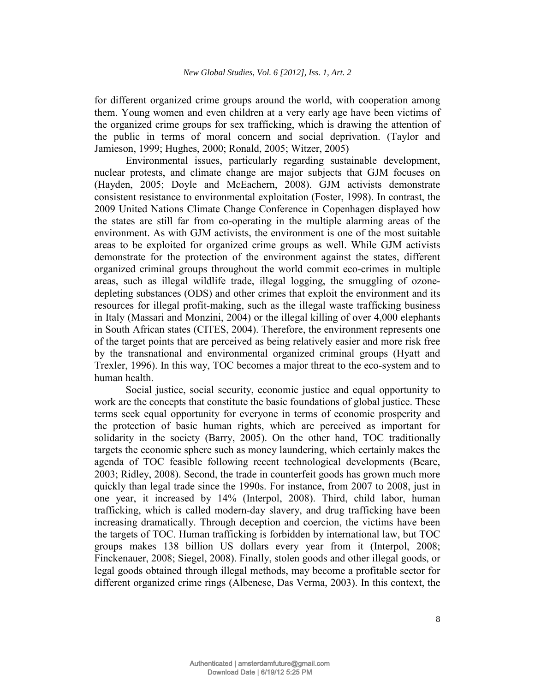for different organized crime groups around the world, with cooperation among them. Young women and even children at a very early age have been victims of the organized crime groups for sex trafficking, which is drawing the attention of the public in terms of moral concern and social deprivation. (Taylor and Jamieson, 1999; Hughes, 2000; Ronald, 2005; Witzer, 2005)

Environmental issues, particularly regarding sustainable development, nuclear protests, and climate change are major subjects that GJM focuses on (Hayden, 2005; Doyle and McEachern, 2008). GJM activists demonstrate consistent resistance to environmental exploitation (Foster, 1998). In contrast, the 2009 United Nations Climate Change Conference in Copenhagen displayed how the states are still far from co-operating in the multiple alarming areas of the environment. As with GJM activists, the environment is one of the most suitable areas to be exploited for organized crime groups as well. While GJM activists demonstrate for the protection of the environment against the states, different organized criminal groups throughout the world commit eco-crimes in multiple areas, such as illegal wildlife trade, illegal logging, the smuggling of ozonedepleting substances (ODS) and other crimes that exploit the environment and its resources for illegal profit-making, such as the illegal waste trafficking business in Italy (Massari and Monzini, 2004) or the illegal killing of over 4,000 elephants in South African states (CITES, 2004). Therefore, the environment represents one of the target points that are perceived as being relatively easier and more risk free by the transnational and environmental organized criminal groups (Hyatt and Trexler, 1996). In this way, TOC becomes a major threat to the eco-system and to human health.

Social justice, social security, economic justice and equal opportunity to work are the concepts that constitute the basic foundations of global justice. These terms seek equal opportunity for everyone in terms of economic prosperity and the protection of basic human rights, which are perceived as important for solidarity in the society (Barry, 2005). On the other hand, TOC traditionally targets the economic sphere such as money laundering, which certainly makes the agenda of TOC feasible following recent technological developments (Beare, 2003; Ridley, 2008). Second, the trade in counterfeit goods has grown much more quickly than legal trade since the 1990s. For instance, from 2007 to 2008, just in one year, it increased by 14% (Interpol, 2008). Third, child labor, human trafficking, which is called modern-day slavery, and drug trafficking have been increasing dramatically. Through deception and coercion, the victims have been the targets of TOC. Human trafficking is forbidden by international law, but TOC groups makes 138 billion US dollars every year from it (Interpol, 2008; Finckenauer, 2008; Siegel, 2008). Finally, stolen goods and other illegal goods, or legal goods obtained through illegal methods, may become a profitable sector for different organized crime rings (Albenese, Das Verma, 2003). In this context, the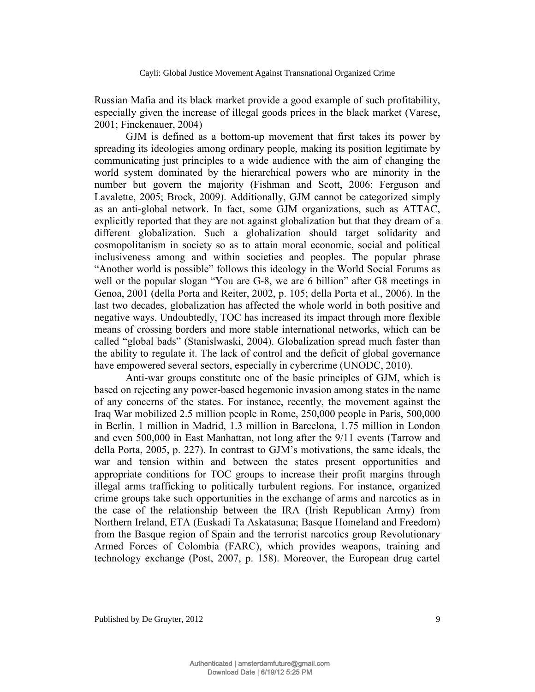Russian Mafia and its black market provide a good example of such profitability, especially given the increase of illegal goods prices in the black market (Varese, 2001; Finckenauer, 2004)

GJM is defined as a bottom-up movement that first takes its power by spreading its ideologies among ordinary people, making its position legitimate by communicating just principles to a wide audience with the aim of changing the world system dominated by the hierarchical powers who are minority in the number but govern the majority (Fishman and Scott, 2006; Ferguson and Lavalette, 2005; Brock, 2009). Additionally, GJM cannot be categorized simply as an anti-global network. In fact, some GJM organizations, such as ATTAC, explicitly reported that they are not against globalization but that they dream of a different globalization. Such a globalization should target solidarity and cosmopolitanism in society so as to attain moral economic, social and political inclusiveness among and within societies and peoples. The popular phrase "Another world is possible" follows this ideology in the World Social Forums as well or the popular slogan "You are G-8, we are 6 billion" after G8 meetings in Genoa, 2001 (della Porta and Reiter, 2002, p. 105; della Porta et al., 2006). In the last two decades, globalization has affected the whole world in both positive and negative ways. Undoubtedly, TOC has increased its impact through more flexible means of crossing borders and more stable international networks, which can be called "global bads" (Stanislwaski, 2004). Globalization spread much faster than the ability to regulate it. The lack of control and the deficit of global governance have empowered several sectors, especially in cybercrime (UNODC, 2010).

Anti-war groups constitute one of the basic principles of GJM, which is based on rejecting any power-based hegemonic invasion among states in the name of any concerns of the states. For instance, recently, the movement against the Iraq War mobilized 2.5 million people in Rome, 250,000 people in Paris, 500,000 in Berlin, 1 million in Madrid, 1.3 million in Barcelona, 1.75 million in London and even 500,000 in East Manhattan, not long after the 9/11 events (Tarrow and della Porta, 2005, p. 227). In contrast to GJM's motivations, the same ideals, the war and tension within and between the states present opportunities and appropriate conditions for TOC groups to increase their profit margins through illegal arms trafficking to politically turbulent regions. For instance, organized crime groups take such opportunities in the exchange of arms and narcotics as in the case of the relationship between the IRA (Irish Republican Army) from Northern Ireland, ETA (Euskadi Ta Askatasuna; Basque Homeland and Freedom) from the Basque region of Spain and the terrorist narcotics group Revolutionary Armed Forces of Colombia (FARC), which provides weapons, training and technology exchange (Post, 2007, p. 158). Moreover, the European drug cartel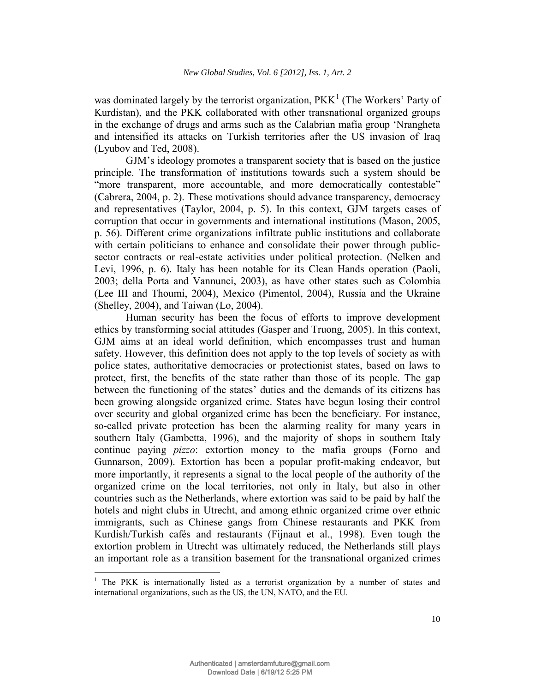was dominated largely by the terrorist organization,  $PKK<sup>1</sup>$  $PKK<sup>1</sup>$  $PKK<sup>1</sup>$  (The Workers' Party of Kurdistan), and the PKK collaborated with other transnational organized groups in the exchange of drugs and arms such as the Calabrian mafia group 'Nrangheta and intensified its attacks on Turkish territories after the US invasion of Iraq (Lyubov and Ted, 2008).

GJM's ideology promotes a transparent society that is based on the justice principle. The transformation of institutions towards such a system should be "more transparent, more accountable, and more democratically contestable" (Cabrera, 2004, p. 2). These motivations should advance transparency, democracy and representatives (Taylor, 2004, p. 5). In this context, GJM targets cases of corruption that occur in governments and international institutions (Mason, 2005, p. 56). Different crime organizations infiltrate public institutions and collaborate with certain politicians to enhance and consolidate their power through publicsector contracts or real-estate activities under political protection. (Nelken and Levi, 1996, p. 6). Italy has been notable for its Clean Hands operation (Paoli, 2003; della Porta and Vannunci, 2003), as have other states such as Colombia (Lee III and Thoumi, 2004), Mexico (Pimentol, 2004), Russia and the Ukraine (Shelley, 2004), and Taiwan (Lo, 2004).

Human security has been the focus of efforts to improve development ethics by transforming social attitudes (Gasper and Truong, 2005). In this context, GJM aims at an ideal world definition, which encompasses trust and human safety. However, this definition does not apply to the top levels of society as with police states, authoritative democracies or protectionist states, based on laws to protect, first, the benefits of the state rather than those of its people. The gap between the functioning of the states' duties and the demands of its citizens has been growing alongside organized crime. States have begun losing their control over security and global organized crime has been the beneficiary. For instance, so-called private protection has been the alarming reality for many years in southern Italy (Gambetta, 1996), and the majority of shops in southern Italy continue paying *pizzo*: extortion money to the mafia groups (Forno and Gunnarson, 2009). Extortion has been a popular profit-making endeavor, but more importantly, it represents a signal to the local people of the authority of the organized crime on the local territories, not only in Italy, but also in other countries such as the Netherlands, where extortion was said to be paid by half the hotels and night clubs in Utrecht, and among ethnic organized crime over ethnic immigrants, such as Chinese gangs from Chinese restaurants and PKK from Kurdish/Turkish cafés and restaurants (Fijnaut et al., 1998). Even tough the extortion problem in Utrecht was ultimately reduced, the Netherlands still plays an important role as a transition basement for the transnational organized crimes

<span id="page-11-0"></span><sup>&</sup>lt;sup>1</sup> The PKK is internationally listed as a terrorist organization by a number of states and international organizations, such as the US, the UN, NATO, and the EU.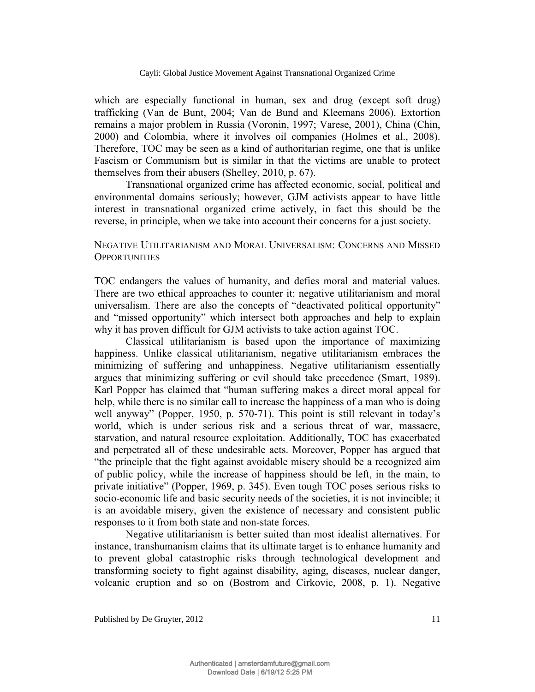which are especially functional in human, sex and drug (except soft drug) trafficking (Van de Bunt, 2004; Van de Bund and Kleemans 2006). Extortion remains a major problem in Russia (Voronin, 1997; Varese, 2001), China (Chin, 2000) and Colombia, where it involves oil companies (Holmes et al., 2008). Therefore, TOC may be seen as a kind of authoritarian regime, one that is unlike Fascism or Communism but is similar in that the victims are unable to protect themselves from their abusers (Shelley, 2010, p. 67).

Transnational organized crime has affected economic, social, political and environmental domains seriously; however, GJM activists appear to have little interest in transnational organized crime actively, in fact this should be the reverse, in principle, when we take into account their concerns for a just society.

### NEGATIVE UTILITARIANISM AND MORAL UNIVERSALISM: CONCERNS AND MISSED **OPPORTUNITIES**

TOC endangers the values of humanity, and defies moral and material values. There are two ethical approaches to counter it: negative utilitarianism and moral universalism. There are also the concepts of "deactivated political opportunity" and "missed opportunity" which intersect both approaches and help to explain why it has proven difficult for GJM activists to take action against TOC.

Classical utilitarianism is based upon the importance of maximizing happiness. Unlike classical utilitarianism, negative utilitarianism embraces the minimizing of suffering and unhappiness. Negative utilitarianism essentially argues that minimizing suffering or evil should take precedence (Smart, 1989). Karl Popper has claimed that "human suffering makes a direct moral appeal for help, while there is no similar call to increase the happiness of a man who is doing well anyway" (Popper, 1950, p. 570-71). This point is still relevant in today's world, which is under serious risk and a serious threat of war, massacre, starvation, and natural resource exploitation. Additionally, TOC has exacerbated and perpetrated all of these undesirable acts. Moreover, Popper has argued that "the principle that the fight against avoidable misery should be a recognized aim of public policy, while the increase of happiness should be left, in the main, to private initiative" (Popper, 1969, p. 345). Even tough TOC poses serious risks to socio-economic life and basic security needs of the societies, it is not invincible; it is an avoidable misery, given the existence of necessary and consistent public responses to it from both state and non-state forces.

Negative utilitarianism is better suited than most idealist alternatives. For instance, transhumanism claims that its ultimate target is to enhance humanity and to prevent global catastrophic risks through technological development and transforming society to fight against disability, aging, diseases, nuclear danger, volcanic eruption and so on (Bostrom and Cirkovic, 2008, p. 1). Negative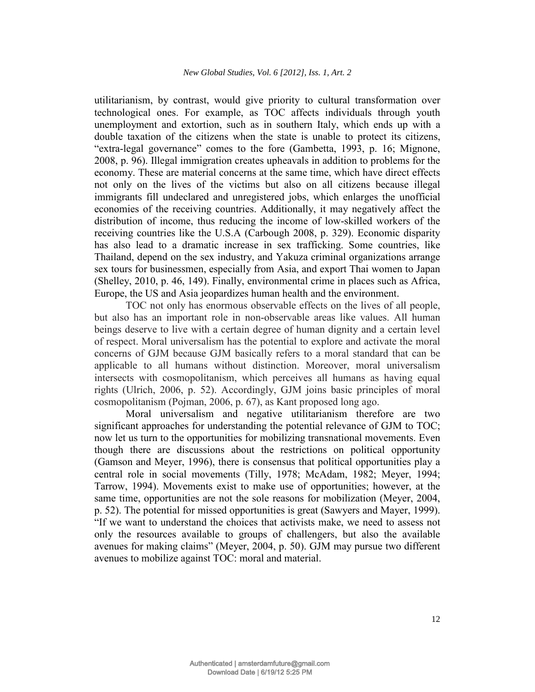utilitarianism, by contrast, would give priority to cultural transformation over technological ones. For example, as TOC affects individuals through youth unemployment and extortion, such as in southern Italy, which ends up with a double taxation of the citizens when the state is unable to protect its citizens, "extra-legal governance" comes to the fore (Gambetta, 1993, p. 16; Mignone, 2008, p. 96). Illegal immigration creates upheavals in addition to problems for the economy. These are material concerns at the same time, which have direct effects not only on the lives of the victims but also on all citizens because illegal immigrants fill undeclared and unregistered jobs, which enlarges the unofficial economies of the receiving countries. Additionally, it may negatively affect the distribution of income, thus reducing the income of low-skilled workers of the receiving countries like the U.S.A (Carbough 2008, p. 329). Economic disparity has also lead to a dramatic increase in sex trafficking. Some countries, like Thailand, depend on the sex industry, and Yakuza criminal organizations arrange sex tours for businessmen, especially from Asia, and export Thai women to Japan (Shelley, 2010, p. 46, 149). Finally, environmental crime in places such as Africa, Europe, the US and Asia jeopardizes human health and the environment.

TOC not only has enormous observable effects on the lives of all people, but also has an important role in non-observable areas like values. All human beings deserve to live with a certain degree of human dignity and a certain level of respect. Moral universalism has the potential to explore and activate the moral concerns of GJM because GJM basically refers to a moral standard that can be applicable to all humans without distinction. Moreover, moral universalism intersects with cosmopolitanism, which perceives all humans as having equal rights (Ulrich, 2006, p. 52). Accordingly, GJM joins basic principles of moral cosmopolitanism (Pojman, 2006, p. 67), as Kant proposed long ago.

Moral universalism and negative utilitarianism therefore are two significant approaches for understanding the potential relevance of GJM to TOC; now let us turn to the opportunities for mobilizing transnational movements. Even though there are discussions about the restrictions on political opportunity (Gamson and Meyer, 1996), there is consensus that political opportunities play a central role in social movements (Tilly, 1978; McAdam, 1982; Meyer, 1994; Tarrow, 1994). Movements exist to make use of opportunities; however, at the same time, opportunities are not the sole reasons for mobilization (Meyer, 2004, p. 52). The potential for missed opportunities is great (Sawyers and Mayer, 1999). "If we want to understand the choices that activists make, we need to assess not only the resources available to groups of challengers, but also the available avenues for making claims" (Meyer, 2004, p. 50). GJM may pursue two different avenues to mobilize against TOC: moral and material.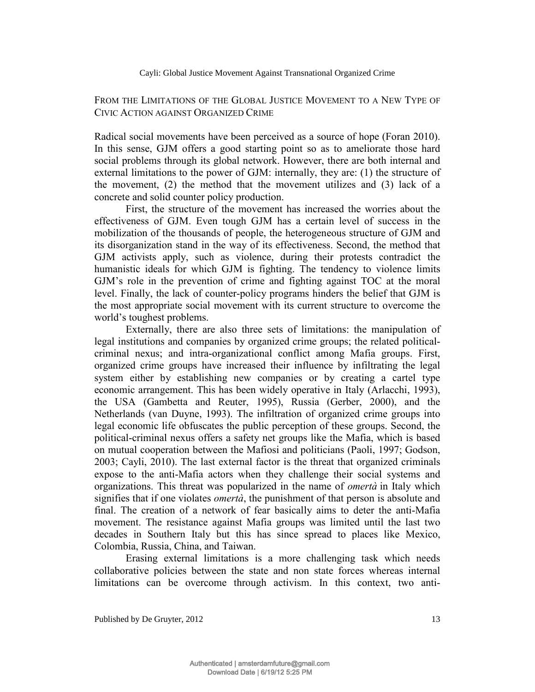FROM THE LIMITATIONS OF THE GLOBAL JUSTICE MOVEMENT TO A NEW TYPE OF CIVIC ACTION AGAINST ORGANIZED CRIME

Radical social movements have been perceived as a source of hope (Foran 2010). In this sense, GJM offers a good starting point so as to ameliorate those hard social problems through its global network. However, there are both internal and external limitations to the power of GJM: internally, they are: (1) the structure of the movement, (2) the method that the movement utilizes and (3) lack of a concrete and solid counter policy production.

First, the structure of the movement has increased the worries about the effectiveness of GJM. Even tough GJM has a certain level of success in the mobilization of the thousands of people, the heterogeneous structure of GJM and its disorganization stand in the way of its effectiveness. Second, the method that GJM activists apply, such as violence, during their protests contradict the humanistic ideals for which GJM is fighting. The tendency to violence limits GJM's role in the prevention of crime and fighting against TOC at the moral level. Finally, the lack of counter-policy programs hinders the belief that GJM is the most appropriate social movement with its current structure to overcome the world's toughest problems.

Externally, there are also three sets of limitations: the manipulation of legal institutions and companies by organized crime groups; the related politicalcriminal nexus; and intra-organizational conflict among Mafia groups. First, organized crime groups have increased their influence by infiltrating the legal system either by establishing new companies or by creating a cartel type economic arrangement. This has been widely operative in Italy (Arlacchi, 1993), the USA (Gambetta and Reuter, 1995), Russia (Gerber, 2000), and the Netherlands (van Duyne, 1993). The infiltration of organized crime groups into legal economic life obfuscates the public perception of these groups. Second, the political-criminal nexus offers a safety net groups like the Mafia, which is based on mutual cooperation between the Mafiosi and politicians (Paoli, 1997; Godson, 2003; Cayli, 2010). The last external factor is the threat that organized criminals expose to the anti-Mafia actors when they challenge their social systems and organizations. This threat was popularized in the name of *omertà* in Italy which signifies that if one violates *omertà*, the punishment of that person is absolute and final. The creation of a network of fear basically aims to deter the anti-Mafia movement. The resistance against Mafia groups was limited until the last two decades in Southern Italy but this has since spread to places like Mexico, Colombia, Russia, China, and Taiwan.

Erasing external limitations is a more challenging task which needs collaborative policies between the state and non state forces whereas internal limitations can be overcome through activism. In this context, two anti-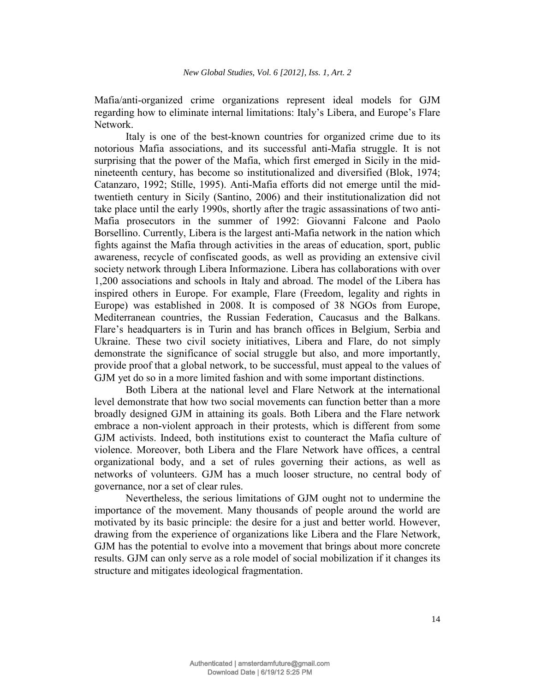Mafia/anti-organized crime organizations represent ideal models for GJM regarding how to eliminate internal limitations: Italy's Libera, and Europe's Flare Network.

Italy is one of the best-known countries for organized crime due to its notorious Mafia associations, and its successful anti-Mafia struggle. It is not surprising that the power of the Mafia, which first emerged in Sicily in the midnineteenth century, has become so institutionalized and diversified (Blok, 1974; Catanzaro, 1992; Stille, 1995). Anti-Mafia efforts did not emerge until the midtwentieth century in Sicily (Santino, 2006) and their institutionalization did not take place until the early 1990s, shortly after the tragic assassinations of two anti-Mafia prosecutors in the summer of 1992: Giovanni Falcone and Paolo Borsellino. Currently, Libera is the largest anti-Mafia network in the nation which fights against the Mafia through activities in the areas of education, sport, public awareness, recycle of confiscated goods, as well as providing an extensive civil society network through Libera Informazione. Libera has collaborations with over 1,200 associations and schools in Italy and abroad. The model of the Libera has inspired others in Europe. For example, Flare (Freedom, legality and rights in Europe) was established in 2008. It is composed of 38 NGOs from Europe, Mediterranean countries, the Russian Federation, Caucasus and the Balkans. Flare's headquarters is in Turin and has branch offices in Belgium, Serbia and Ukraine. These two civil society initiatives, Libera and Flare, do not simply demonstrate the significance of social struggle but also, and more importantly, provide proof that a global network, to be successful, must appeal to the values of GJM yet do so in a more limited fashion and with some important distinctions.

Both Libera at the national level and Flare Network at the international level demonstrate that how two social movements can function better than a more broadly designed GJM in attaining its goals. Both Libera and the Flare network embrace a non-violent approach in their protests, which is different from some GJM activists. Indeed, both institutions exist to counteract the Mafia culture of violence. Moreover, both Libera and the Flare Network have offices, a central organizational body, and a set of rules governing their actions, as well as networks of volunteers. GJM has a much looser structure, no central body of governance, nor a set of clear rules.

Nevertheless, the serious limitations of GJM ought not to undermine the importance of the movement. Many thousands of people around the world are motivated by its basic principle: the desire for a just and better world. However, drawing from the experience of organizations like Libera and the Flare Network, GJM has the potential to evolve into a movement that brings about more concrete results. GJM can only serve as a role model of social mobilization if it changes its structure and mitigates ideological fragmentation.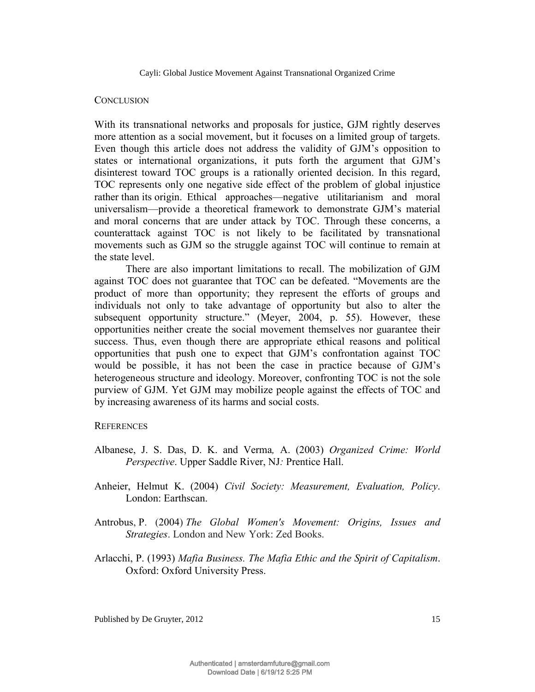#### **CONCLUSION**

With its transnational networks and proposals for justice, GJM rightly deserves more attention as a social movement, but it focuses on a limited group of targets. Even though this article does not address the validity of GJM's opposition to states or international organizations, it puts forth the argument that GJM's disinterest toward TOC groups is a rationally oriented decision. In this regard, TOC represents only one negative side effect of the problem of global injustice rather than its origin. Ethical approaches—negative utilitarianism and moral universalism—provide a theoretical framework to demonstrate GJM's material and moral concerns that are under attack by TOC. Through these concerns, a counterattack against TOC is not likely to be facilitated by transnational movements such as GJM so the struggle against TOC will continue to remain at the state level.

There are also important limitations to recall. The mobilization of GJM against TOC does not guarantee that TOC can be defeated. "Movements are the product of more than opportunity; they represent the efforts of groups and individuals not only to take advantage of opportunity but also to alter the subsequent opportunity structure." (Meyer, 2004, p. 55). However, these opportunities neither create the social movement themselves nor guarantee their success. Thus, even though there are appropriate ethical reasons and political opportunities that push one to expect that GJM's confrontation against TOC would be possible, it has not been the case in practice because of GJM's heterogeneous structure and ideology. Moreover, confronting TOC is not the sole purview of GJM. Yet GJM may mobilize people against the effects of TOC and by increasing awareness of its harms and social costs.

### **REFERENCES**

- Albanese, J. S. Das, D. K. and Verma*,* A. (2003) *Organized Crime: World Perspective*. Upper Saddle River, NJ*:* Prentice Hall.
- Anheier, Helmut K. (2004) *Civil Society: Measurement, Evaluation, Policy*. London: Earthscan.
- Antrobus, P. (2004) *The Global Women's Movement: Origins, Issues and Strategies*. London and New York: Zed Books.
- Arlacchi, P. (1993) *Mafia Business. The Mafia Ethic and the Spirit of Capitalism*. Oxford: Oxford University Press.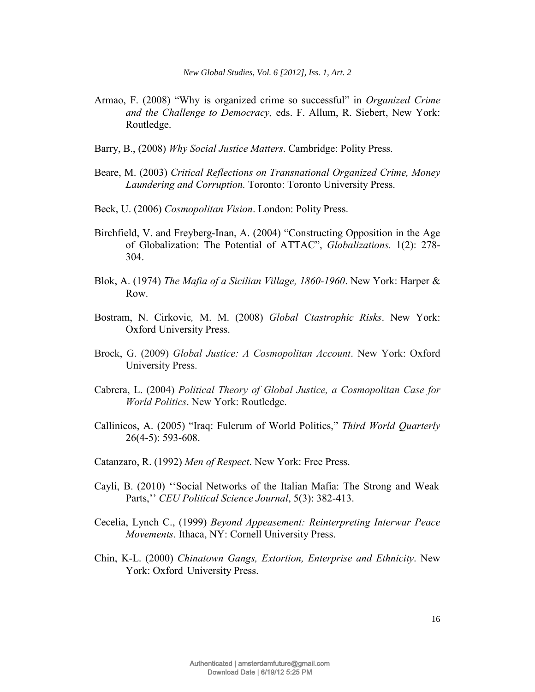*New Global Studies, Vol. 6 [2012], Iss. 1, Art. 2*

- Armao, F. (2008) "Why is organized crime so successful" in *Organized Crime and the Challenge to Democracy,* eds. F. Allum, R. Siebert, New York: Routledge.
- Barry, B., (2008) *Why Social Justice Matters*. Cambridge: Polity Press.
- Beare, M. (2003) *Critical Reflections on Transnational Organized Crime, Money Laundering and Corruption.* Toronto: Toronto University Press.
- Beck, U. (2006) *Cosmopolitan Vision*. London: Polity Press.
- Birchfield, V. and Freyberg-Inan, A. (2004) "Constructing Opposition in the Age of Globalization: The Potential of ATTAC", *Globalizations.* 1(2): 278- 304.
- Blok, A. (1974) *The Mafia of a Sicilian Village, 1860-1960*. New York: Harper & Row.
- Bostram, N. Cirkovic*,* M. M. (2008) *Global Ctastrophic Risks*. New York: Oxford University Press.
- Brock, G. (2009) *Global Justice: A Cosmopolitan Account*. New York: Oxford University Press.
- Cabrera, L. (2004) *Political Theory of Global Justice, a Cosmopolitan Case for World Politics*. New York: Routledge.
- Callinicos, A. (2005) "Iraq: Fulcrum of World Politics," *Third World Quarterly* 26(4-5): 593-608.
- Catanzaro, R. (1992) *Men of Respect*. New York: Free Press.
- Cayli, B. (2010) ''Social Networks of the Italian Mafia: The Strong and Weak Parts,'' *CEU Political Science Journal*, 5(3): 382-413.
- Cecelia, Lynch C., (1999) *Beyond Appeasement: Reinterpreting Interwar Peace Movements*. Ithaca, NY: Cornell University Press.
- Chin, K-L. (2000) *Chinatown Gangs, Extortion, Enterprise and Ethnicity*. New York: Oxford University Press.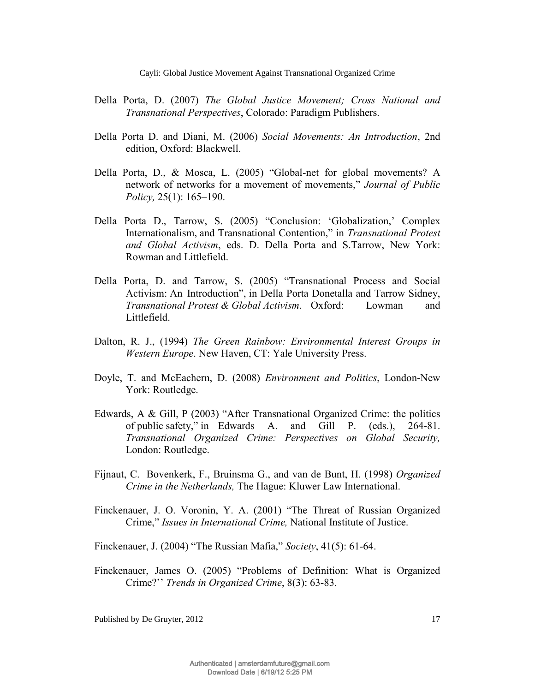- Della Porta, D. (2007) *The Global Justice Movement; Cross National and Transnational Perspectives*, Colorado: Paradigm Publishers.
- Della Porta D. and Diani, M. (2006) *Social Movements: An Introduction*, 2nd edition, Oxford: Blackwell.
- Della Porta, D., & Mosca, L. (2005) "Global-net for global movements? A network of networks for a movement of movements," *Journal of Public Policy,* 25(1): 165–190.
- Della Porta D., Tarrow, S. (2005) "Conclusion: 'Globalization,' Complex Internationalism, and Transnational Contention," in *Transnational Protest and Global Activism*, eds. D. Della Porta and S.Tarrow, New York: Rowman and Littlefield.
- Della Porta, D. and Tarrow, S. (2005) "Transnational Process and Social Activism: An Introduction", in Della Porta Donetalla and Tarrow Sidney, *Transnational Protest & Global Activism*. Oxford: Lowman and Littlefield.
- Dalton, R. J., (1994) *The Green Rainbow: Environmental Interest Groups in Western Europe*. New Haven, CT: Yale University Press.
- Doyle, T. and McEachern, D. (2008) *Environment and Politics*, London-New York: Routledge.
- [Edwards, A & Gill, P \(2003\) "After Transnational Organized Crime: the politics](http://www.seek.salford.ac.uk/user/profile/publications/view.do?publicationNum=10514)  of public safety," [in Edwards A. and Gill P. \(eds.\),](http://www.seek.salford.ac.uk/user/profile/publications/view.do?publicationNum=10514) 264-81. *[Transnational Organized Crime: Perspectives on](http://www.seek.salford.ac.uk/user/profile/publications/view.do?publicationNum=10514) Global Security,* [London: Routledge.](http://www.seek.salford.ac.uk/user/profile/publications/view.do?publicationNum=10514)
- Fijnaut, C. Bovenkerk, F., Bruinsma G., and van de Bunt, H. (1998) *Organized Crime in the Netherlands,* The Hague: Kluwer Law International.
- Finckenauer, J. O. Voronin, Y. A. (2001) "The Threat of Russian Organized Crime," *Issues in International Crime,* National Institute of Justice.

Finckenauer, J. (2004) "The Russian Mafia," *Society*, 41(5): 61-64.

Finckenauer, James O. (2005) "Problems of Definition: What is Organized Crime?'' *Trends in Organized Crime*, 8(3): 63-83.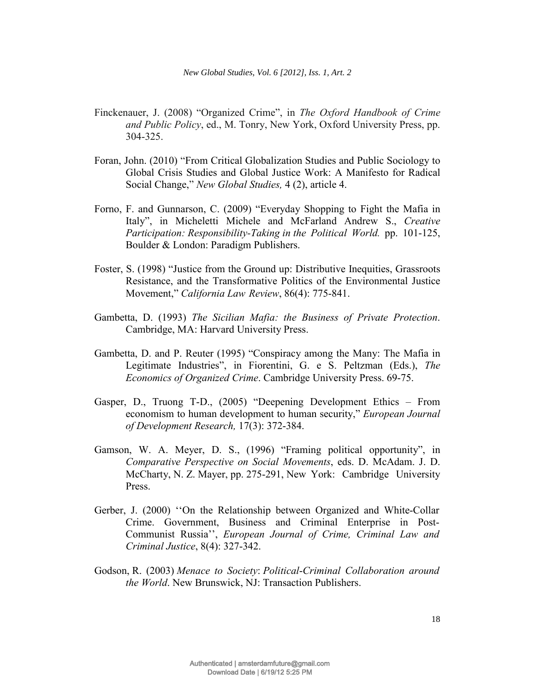- Finckenauer, J. (2008) "Organized Crime", in *The Oxford Handbook of Crime and Public Policy*, ed., M. Tonry, New York, Oxford University Press, pp. 304-325.
- Foran, John. (2010) "From Critical Globalization Studies and Public Sociology to Global Crisis Studies and Global Justice Work: A Manifesto for Radical Social Change," *New Global Studies,* 4 (2), article 4.
- Forno, F. and Gunnarson, C. (2009) "Everyday Shopping to Fight the Mafia in Italy", in Micheletti Michele and McFarland Andrew S., *Creative Participation: Responsibility-Taking in the Political World.* pp. 101-125, Boulder & London: Paradigm Publishers.
- Foster, S. (1998) "Justice from the Ground up: Distributive Inequities, Grassroots Resistance, and the Transformative Politics of the Environmental Justice Movement," *California Law Review*, 86(4): 775-841.
- Gambetta, D. (1993) *The Sicilian Mafia: the Business of Private Protection*. Cambridge, MA: Harvard University Press.
- Gambetta, D. and P. Reuter (1995) "Conspiracy among the Many: The Mafia in Legitimate Industries", in Fiorentini, G. e S. Peltzman (Eds.), *The Economics of Organized Crime*. Cambridge University Press. 69-75.
- Gasper, D., Truong T-D., (2005) "Deepening Development Ethics From economism to human development to human security," *European Journal of Development Research,* 17(3): 372-384.
- Gamson, W. A. Meyer, D. S., (1996) "Framing political opportunity", in *Comparative Perspective on Social Movements*, eds. D. McAdam. J. D. McCharty, N. Z. Mayer, pp. 275-291, New York: Cambridge University Press.
- Gerber, J. (2000) ''On the Relationship between Organized and White-Collar Crime. Government, Business and Criminal Enterprise in Post-Communist Russia'', *European Journal of Crime, Criminal Law and Criminal Justice*, 8(4): 327-342.
- Godson, R. (2003) *Menace to Society*: *Political*-*Criminal Collaboration around the World*. New Brunswick, NJ: Transaction Publishers.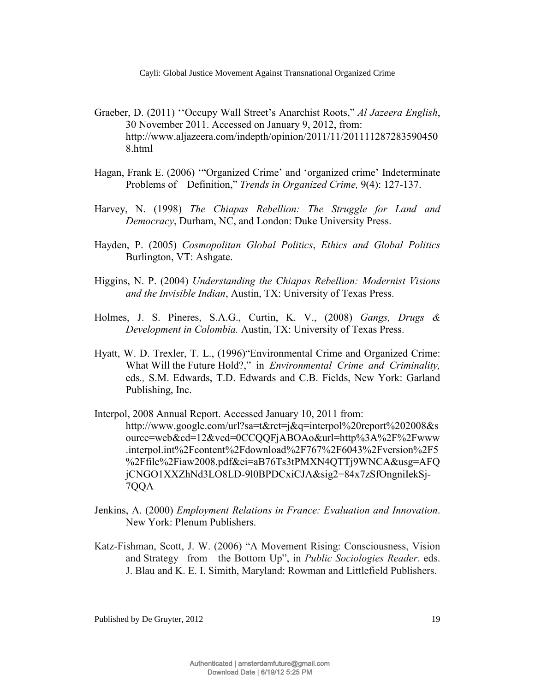- Graeber, D. (2011) ''Occupy Wall Street's Anarchist Roots," *Al Jazeera English*, 30 November 2011. Accessed on January 9, 2012, from: [http://www.aljazeera.com/indepth/opinion/2011/11/201111287283590450](http://www.aljazeera.com/indepth/opinion/2011/11/2011112872835904508.html) [8.html](http://www.aljazeera.com/indepth/opinion/2011/11/2011112872835904508.html)
- Hagan, Frank E. (2006) '"Organized Crime' and 'organized crime' Indeterminate Problems of Definition," *Trends in Organized Crime,* 9(4): 127-137.
- Harvey, N. (1998) *The Chiapas Rebellion: The Struggle for Land and Democracy*, Durham, NC, and London: Duke University Press.
- Hayden, P. (2005) *Cosmopolitan Global Politics*, *Ethics and Global Politics* Burlington, VT: Ashgate.
- Higgins, N. P. (2004) *Understanding the Chiapas Rebellion: Modernist Visions and the Invisible Indian*, Austin, TX: University of Texas Press.
- Holmes, J. S. Pineres, S.A.G., Curtin, K. V., (2008) *Gangs, Drugs & Development in Colombia.* Austin, TX: University of Texas Press.
- Hyatt, W. D. Trexler, T. L., (1996)"Environmental Crime and Organized Crime: What Will the Future Hold?," in *Environmental Crime and Criminality,*  eds*.,* S.M. Edwards, T.D. Edwards and C.B. Fields, New York: Garland Publishing, Inc.
- Interpol, 2008 Annual Report. Accessed January 10, 2011 from: [http://www.google.com/url?sa=t&rct=j&q=interpol%20report%202008&s](http://www.google.com/url?sa=t&rct=j&q=interpol%20report%202008&source=web&cd=12&ved=0CCQQFjABOAo&url=http%3A%2F%2Fwww.interpol.int%2Fcontent%2Fdownload%2F767%2F6043%2Fversion%2F5%2Ffile%2Fiaw2008.pdf&ei=aB76Ts3tPMXN4QTTj9WNCA&usg=AFQjCNGO1XXZhNd3LO8LD-9l0BPDCxiCJA&sig2=84x7zSfOngniIekSj-7QQA) [ource=web&cd=12&ved=0CCQQFjABOAo&url=http%3A%2F%2Fwww](http://www.google.com/url?sa=t&rct=j&q=interpol%20report%202008&source=web&cd=12&ved=0CCQQFjABOAo&url=http%3A%2F%2Fwww.interpol.int%2Fcontent%2Fdownload%2F767%2F6043%2Fversion%2F5%2Ffile%2Fiaw2008.pdf&ei=aB76Ts3tPMXN4QTTj9WNCA&usg=AFQjCNGO1XXZhNd3LO8LD-9l0BPDCxiCJA&sig2=84x7zSfOngniIekSj-7QQA) [.interpol.int%2Fcontent%2Fdownload%2F767%2F6043%2Fversion%2F5](http://www.google.com/url?sa=t&rct=j&q=interpol%20report%202008&source=web&cd=12&ved=0CCQQFjABOAo&url=http%3A%2F%2Fwww.interpol.int%2Fcontent%2Fdownload%2F767%2F6043%2Fversion%2F5%2Ffile%2Fiaw2008.pdf&ei=aB76Ts3tPMXN4QTTj9WNCA&usg=AFQjCNGO1XXZhNd3LO8LD-9l0BPDCxiCJA&sig2=84x7zSfOngniIekSj-7QQA) [%2Ffile%2Fiaw2008.pdf&ei=aB76Ts3tPMXN4QTTj9WNCA&usg=AFQ](http://www.google.com/url?sa=t&rct=j&q=interpol%20report%202008&source=web&cd=12&ved=0CCQQFjABOAo&url=http%3A%2F%2Fwww.interpol.int%2Fcontent%2Fdownload%2F767%2F6043%2Fversion%2F5%2Ffile%2Fiaw2008.pdf&ei=aB76Ts3tPMXN4QTTj9WNCA&usg=AFQjCNGO1XXZhNd3LO8LD-9l0BPDCxiCJA&sig2=84x7zSfOngniIekSj-7QQA) [jCNGO1XXZhNd3LO8LD-9l0BPDCxiCJA&sig2=84x7zSfOngniIekSj-](http://www.google.com/url?sa=t&rct=j&q=interpol%20report%202008&source=web&cd=12&ved=0CCQQFjABOAo&url=http%3A%2F%2Fwww.interpol.int%2Fcontent%2Fdownload%2F767%2F6043%2Fversion%2F5%2Ffile%2Fiaw2008.pdf&ei=aB76Ts3tPMXN4QTTj9WNCA&usg=AFQjCNGO1XXZhNd3LO8LD-9l0BPDCxiCJA&sig2=84x7zSfOngniIekSj-7QQA)[7QQA](http://www.google.com/url?sa=t&rct=j&q=interpol%20report%202008&source=web&cd=12&ved=0CCQQFjABOAo&url=http%3A%2F%2Fwww.interpol.int%2Fcontent%2Fdownload%2F767%2F6043%2Fversion%2F5%2Ffile%2Fiaw2008.pdf&ei=aB76Ts3tPMXN4QTTj9WNCA&usg=AFQjCNGO1XXZhNd3LO8LD-9l0BPDCxiCJA&sig2=84x7zSfOngniIekSj-7QQA)
- Jenkins, A. (2000) *Employment Relations in France: Evaluation and Innovation*. New York: Plenum Publishers.
- Katz-Fishman, Scott, J. W. (2006) "A Movement Rising: Consciousness, Vision and Strategy from the Bottom Up", in *Public Sociologies Reader*. eds. J. Blau and K. E. I. Simith, Maryland: Rowman and Littlefield Publishers.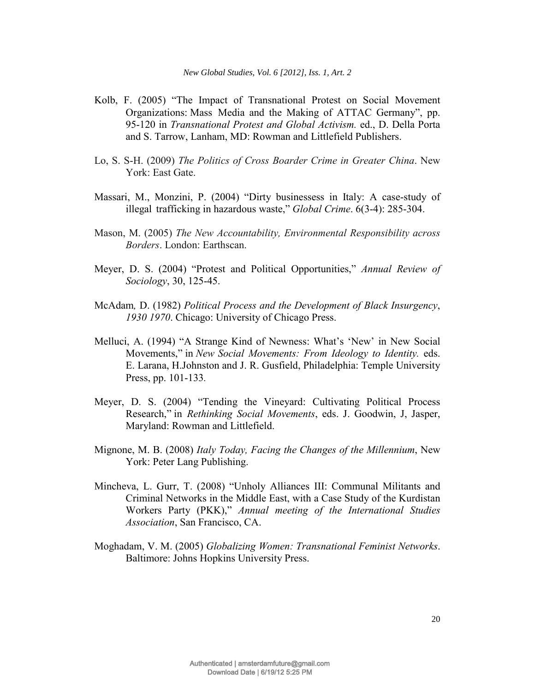- Kolb, F. (2005) "The Impact of Transnational Protest on Social Movement Organizations: Mass Media and the Making of ATTAC Germany", pp. 95-120 in *Transnational Protest and Global Activism.* ed., D. Della Porta and S. Tarrow, Lanham, MD: Rowman and Littlefield Publishers.
- Lo, S. S-H. (2009) *The Politics of Cross Boarder Crime in Greater China*. New York: East Gate.
- Massari, M., Monzini, P. (2004) "Dirty businessess in Italy: A case-study of illegal trafficking in hazardous waste," *Global Crime*. 6(3-4): 285-304.
- Mason, M. (2005) *The New Accountability, Environmental Responsibility across Borders*. London: Earthscan.
- Meyer, D. S. (2004) "Protest and Political Opportunities," *Annual Review of Sociology*, 30, 125-45.
- McAdam*,* D. (1982) *Political Process and the Development of Black Insurgency*, *1930 1970*. Chicago: University of Chicago Press.
- Melluci, A. (1994) "A Strange Kind of Newness: What's 'New' in New Social Movements," in *New Social Movements: From Ideology to Identity.* eds. E. Larana, H.Johnston and J. R. Gusfield, Philadelphia: Temple University Press, pp. 101-133*.*
- Meyer, D. S. (2004) "Tending the Vineyard: Cultivating Political Process Research," in *Rethinking Social Movements*, eds. J. Goodwin, J, Jasper, Maryland: Rowman and Littlefield.
- Mignone, M. B. (2008) *Italy Today, Facing the Changes of the Millennium*, New York: Peter Lang Publishing.
- Mincheva, L. Gurr, T. (2008) "Unholy Alliances III: Communal Militants and Criminal Networks in the Middle East, with a Case Study of the Kurdistan Workers Party (PKK)," *Annual meeting of the International Studies Association*, San Francisco, CA.
- Moghadam, V. M. (2005) *Globalizing Women: Transnational Feminist Networks*. Baltimore: Johns Hopkins University Press.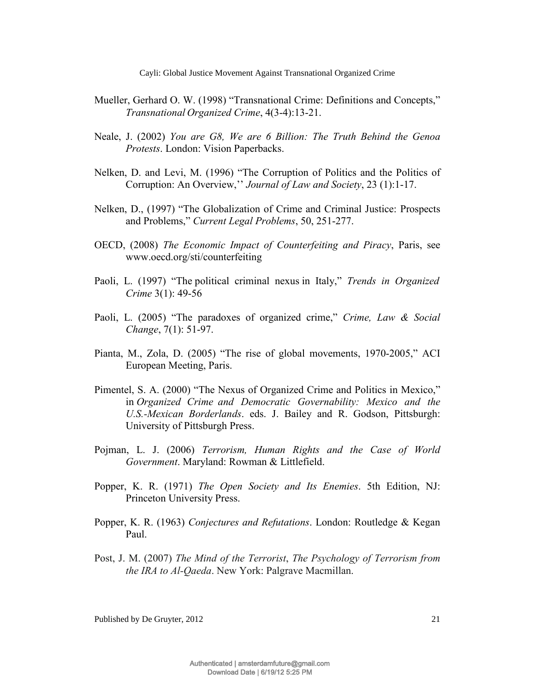- Mueller, Gerhard O. W. (1998) "Transnational Crime: Definitions and Concepts," *Transnational Organized Crime*, 4(3-4):13-21.
- Neale, J. (2002) *You are G8, We are 6 Billion: The Truth Behind the Genoa Protests*. London: Vision Paperbacks.
- Nelken, D. and Levi, M. (1996) "The Corruption of Politics and the Politics of Corruption: An Overview,'' *Journal of Law and Society*, 23 (1):1-17.
- Nelken, D., (1997) "The Globalization of Crime and Criminal Justice: Prospects and Problems," *Current Legal Problems*, 50, 251-277.
- OECD, (2008) *The Economic Impact of Counterfeiting and Piracy*, Paris, see [www.oecd.org/sti/counterfeiting](http://www.oecd.org/sti/counterfeiting)
- Paoli, L. (1997) "The political criminal nexus in Italy," *Trends in Organized Crime* 3(1): 49-56
- Paoli, L. (2005) "The paradoxes of organized crime," *Crime, Law & Social Change*, 7(1): 51-97.
- Pianta, M., Zola, D. (2005) "The rise of global movements, 1970-2005," ACI European Meeting, Paris.
- Pimentel, S. A. (2000) "The Nexus of Organized Crime and Politics in Mexico," in *Organized Crime and Democratic Governability: Mexico and the U.S.-Mexican Borderlands*. eds. J. Bailey and R. Godson, Pittsburgh: University of Pittsburgh Press.
- Pojman, L. J. (2006) *Terrorism, Human Rights and the Case of World Government*. Maryland: Rowman & Littlefield.
- Popper, K. R. (1971) *The Open Society and Its Enemies*. 5th Edition, NJ: Princeton University Press.
- Popper, K. R. (1963) *Conjectures and Refutations*. London: Routledge & Kegan Paul.
- Post, J. M. (2007) *The Mind of the Terrorist*, *The Psychology of Terrorism from the IRA to Al-Qaeda*. New York: Palgrave Macmillan.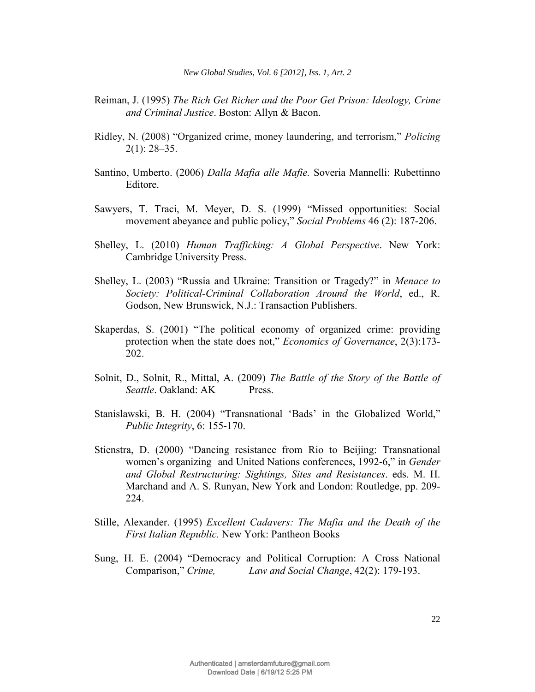- Reiman, J. (1995) *The Rich Get Richer and the Poor Get Prison: Ideology, Crime and Criminal Justice*. Boston: Allyn & Bacon.
- Ridley, N. (2008) "Organized crime, money laundering, and terrorism," *Policing*  $2(1)$ : 28–35.
- Santino, Umberto. (2006) *Dalla Mafia alle Mafie.* Soveria Mannelli: Rubettinno Editore.
- Sawyers, T. Traci, M. Meyer, D. S. (1999) "Missed opportunities: Social movement abeyance and public policy," *Social Problems* 46 (2): 187-206.
- Shelley, L. (2010) *Human Trafficking: A Global Perspective*. New York: Cambridge University Press.
- Shelley, L. (2003) ["Russia and Ukraine: Transition or Tragedy?"](http://books.google.com/books/transaction?id=K616GHp62UkC&pg=PA1&dq=Godson&sig=1UkyzpPE6hLgM_gX4iQugUMdRQg#PPA199,M1) in *Menace to Society: Political-Criminal Collaboration Around the World*, ed., R. Godson, New Brunswick, N.J.: Transaction Publishers.
- Skaperdas, S. (2001) ["The political economy of organized](http://ideas.repec.org/a/spr/ecogov/v2y2001i3p173-202.html) crime: providing [protection when the state does not,](http://ideas.repec.org/a/spr/ecogov/v2y2001i3p173-202.html)" *[Economics of Governance](http://ideas.repec.org/s/spr/ecogov.html)*, 2(3):173- 202.
- Solnit, D., Solnit, R., Mittal, A. (2009) *The Battle of the Story of the Battle of Seattle*. Oakland: AK
- Stanislawski, B. H. (2004) "Transnational 'Bads' in the Globalized World," *Public Integrity*, 6: 155-170.
- Stienstra, D. (2000) "Dancing resistance from Rio to Beijing: Transnational women's organizing and United Nations conferences, 1992-6," in *Gender and Global Restructuring: Sightings, Sites and Resistances*. eds. M. H. Marchand and A. S. Runyan, New York and London: Routledge, pp. 209- 224.
- Stille, Alexander. (1995) *[Excellent Cadavers: The Mafia and the Death of the](http://en.wikipedia.org/wiki/Excellent_Cadavers)  [First Italian Republic.](http://en.wikipedia.org/wiki/Excellent_Cadavers)* New York: Pantheon Books
- Sung, H. E. (2004) "Democracy and Political Corruption: A Cross National Comparison," *Crime, Law and Social Change*, 42(2): 179-193.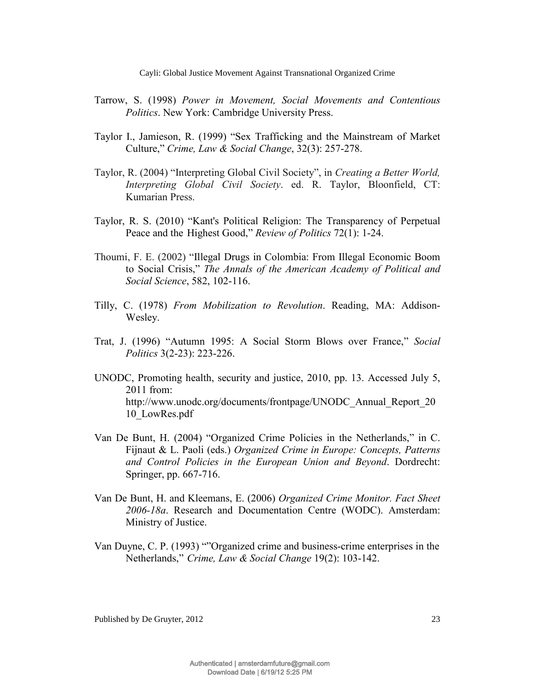- Tarrow, S. (1998) *Power in Movement, Social Movements and Contentious Politics*. New York: Cambridge University Press.
- Taylor I., Jamieson, R. (1999) "Sex Trafficking and the Mainstream of Market Culture," *Crime, Law & Social Change*, 32(3): 257-278.
- Taylor, R. (2004) "Interpreting Global Civil Society", in *Creating a Better World, Interpreting Global Civil Society*. ed. R. Taylor, Bloonfield, CT: Kumarian Press.
- Taylor, R. S. (2010) "Kant's Political Religion: The Transparency of Perpetual Peace and the Highest Good," *Review of Politics* 72(1): 1-24.
- Thoumi, F. E. (2002) "Illegal Drugs in Colombia: From Illegal Economic Boom to Social Crisis," *The Annals of the American Academy of Political and Social Science*, 582, 102-116.
- Tilly, C. (1978) *From Mobilization to Revolution*. Reading, MA: Addison-Wesley.
- Trat, J. (1996) "Autumn 1995: A Social Storm Blows over France," *Social Politics* 3(2-23): 223-226.
- UNODC, Promoting health, security and justice, 2010, pp. 13. Accessed July 5, 2011 from: http://www.unodc.org/documents/frontpage/UNODC Annual Report 20 [10\\_LowRes.pdf](http://www.unodc.org/documents/frontpage/UNODC_Annual_Report_2010_LowRes.pdf)
- Van De Bunt, H. (2004) "Organized Crime Policies in the Netherlands," in C. Fijnaut & L. Paoli (eds.) *Organized Crime in Europe: Concepts, Patterns and Control Policies in the European Union and Beyond*. Dordrecht: Springer, pp. 667-716.
- Van De Bunt, H. and Kleemans, E. (2006) *Organized Crime Monitor. Fact Sheet 2006-18a*. Research and Documentation Centre (WODC). Amsterdam: Ministry of Justice.
- Van Duyne, C. P. (1993) ""Organized crime and business-crime enterprises in the Netherlands," *Crime, Law & Social Change* 19(2): 103-142.